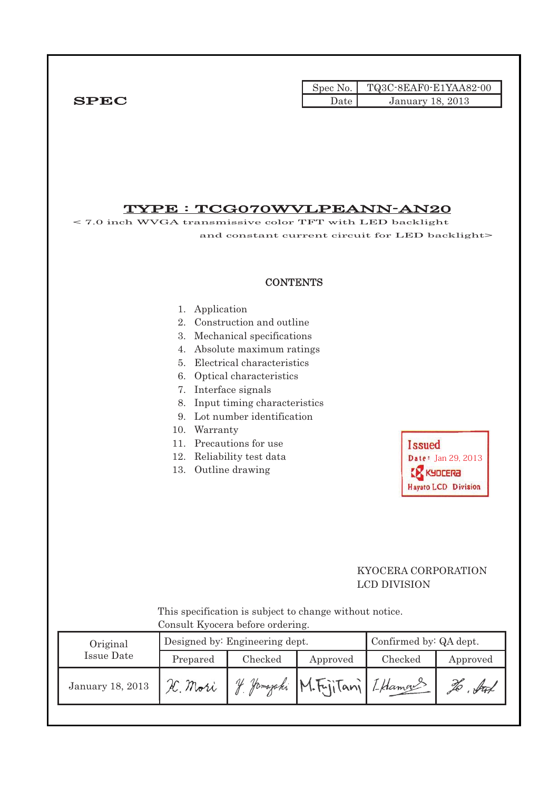|        | Spec No. TQ3C-8EAF0-E1YAA82-00 |
|--------|--------------------------------|
| Date I | January 18, 2013               |

# $T$ <sup> $T$ </sup>

 $SPEC$ 

| Original<br><b>Issue Date</b> | Prepared                           | Consult Kyocera before ordering.<br>Designed by: Engineering dept.<br>Checked                                                                                | Approved | Confirmed by: QA dept.<br>Checked               | Approved                      |
|-------------------------------|------------------------------------|--------------------------------------------------------------------------------------------------------------------------------------------------------------|----------|-------------------------------------------------|-------------------------------|
|                               |                                    |                                                                                                                                                              |          |                                                 |                               |
|                               |                                    |                                                                                                                                                              |          |                                                 |                               |
|                               |                                    | This specification is subject to change without notice.                                                                                                      |          |                                                 |                               |
|                               |                                    |                                                                                                                                                              |          | KYOCERA CORPORATION<br><b>LCD DIVISION</b>      | <b>Hayato LCD Division</b>    |
|                               | 8.<br>9.<br>Warranty<br>10.<br>13. | 7. Interface signals<br>Input timing characteristics<br>Lot number identification<br>11. Precautions for use<br>12. Reliability test data<br>Outline drawing |          | <b>Issued</b>                                   | Date: Jan 29, 2013<br>KYOCERA |
|                               | 4.<br>5.                           | 2. Construction and outline<br>3. Mechanical specifications<br>Absolute maximum ratings<br>Electrical characteristics<br>6. Optical characteristics          |          |                                                 |                               |
|                               | Application<br>1.                  | <b>CONTENTS</b>                                                                                                                                              |          |                                                 |                               |
|                               |                                    |                                                                                                                                                              |          |                                                 |                               |
|                               |                                    |                                                                                                                                                              |          | and constant current circuit for LED backlight> |                               |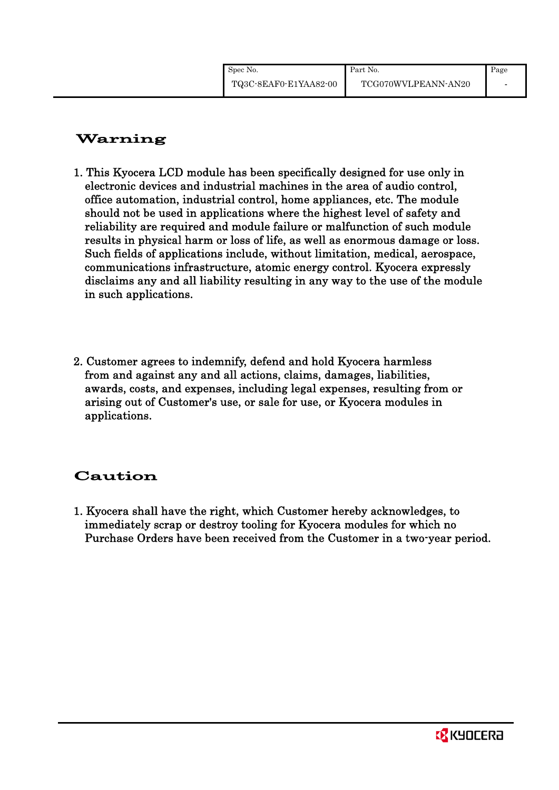# Warning

- 1. This Kyocera LCD module has been specifically designed for use only in electronic devices and industrial machines in the area of audio control, office automation, industrial control, home appliances, etc. The module should not be used in applications where the highest level of safety and reliability are required and module failure or malfunction of such module results in physical harm or loss of life, as well as enormous damage or loss. Such fields of applications include, without limitation, medical, aerospace, communications infrastructure, atomic energy control. Kyocera expressly disclaims any and all liability resulting in any way to the use of the module in such applications.
- 2. Customer agrees to indemnify, defend and hold Kyocera harmless from and against any and all actions, claims, damages, liabilities, awards, costs, and expenses, including legal expenses, resulting from or arising out of Customer's use, or sale for use, or Kyocera modules in applications.

# Caution

1. Kyocera shall have the right, which Customer hereby acknowledges, to immediately scrap or destroy tooling for Kyocera modules for which no Purchase Orders have been received from the Customer in a two-year period.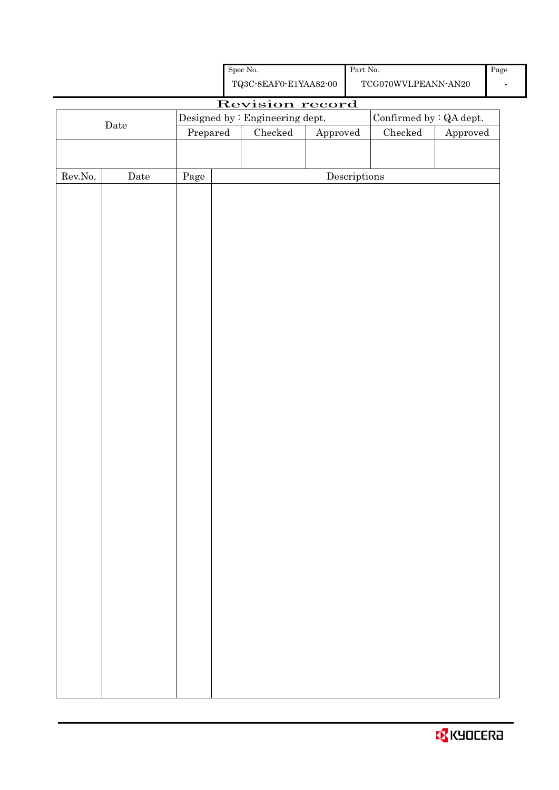| <b>B</b> KYOCERA |  |  |  |  |
|------------------|--|--|--|--|
|------------------|--|--|--|--|

|                  |      |          |  | ${\bf TQ3C\text{-}8EAF0\text{-}E1YAA82\text{-}00}$ |                        |                                      | $\operatorname{TCG070WVLPEANN\text{-}AN20}$ |                        |
|------------------|------|----------|--|----------------------------------------------------|------------------------|--------------------------------------|---------------------------------------------|------------------------|
| Revision record  |      |          |  |                                                    |                        |                                      |                                             |                        |
|                  | Date |          |  | Designed by : Engineering dept.                    |                        |                                      | Confirmed by $:QA$ dept.                    |                        |
|                  |      | Prepared |  | Checked                                            | ${\Large\bf Approved}$ |                                      | Checked                                     | ${\Large\bf Approved}$ |
|                  |      |          |  |                                                    |                        |                                      |                                             |                        |
| ${\rm Rev. No.}$ | Date | Page     |  |                                                    |                        | $\label{eq:2} \textbf{Descriptions}$ |                                             |                        |
|                  |      |          |  |                                                    |                        |                                      |                                             |                        |
|                  |      |          |  |                                                    |                        |                                      |                                             |                        |
|                  |      |          |  |                                                    |                        |                                      |                                             |                        |
|                  |      |          |  |                                                    |                        |                                      |                                             |                        |
|                  |      |          |  |                                                    |                        |                                      |                                             |                        |
|                  |      |          |  |                                                    |                        |                                      |                                             |                        |
|                  |      |          |  |                                                    |                        |                                      |                                             |                        |
|                  |      |          |  |                                                    |                        |                                      |                                             |                        |
|                  |      |          |  |                                                    |                        |                                      |                                             |                        |
|                  |      |          |  |                                                    |                        |                                      |                                             |                        |
|                  |      |          |  |                                                    |                        |                                      |                                             |                        |
|                  |      |          |  |                                                    |                        |                                      |                                             |                        |
|                  |      |          |  |                                                    |                        |                                      |                                             |                        |
|                  |      |          |  |                                                    |                        |                                      |                                             |                        |
|                  |      |          |  |                                                    |                        |                                      |                                             |                        |
|                  |      |          |  |                                                    |                        |                                      |                                             |                        |
|                  |      |          |  |                                                    |                        |                                      |                                             |                        |
|                  |      |          |  |                                                    |                        |                                      |                                             |                        |
|                  |      |          |  |                                                    |                        |                                      |                                             |                        |
|                  |      |          |  |                                                    |                        |                                      |                                             |                        |
|                  |      |          |  |                                                    |                        |                                      |                                             |                        |
|                  |      |          |  |                                                    |                        |                                      |                                             |                        |
|                  |      |          |  |                                                    |                        |                                      |                                             |                        |
|                  |      |          |  |                                                    |                        |                                      |                                             |                        |
|                  |      |          |  |                                                    |                        |                                      |                                             |                        |
|                  |      |          |  |                                                    |                        |                                      |                                             |                        |
|                  |      |          |  |                                                    |                        |                                      |                                             |                        |
|                  |      |          |  |                                                    |                        |                                      |                                             |                        |
|                  |      |          |  |                                                    |                        |                                      |                                             |                        |
|                  |      |          |  |                                                    |                        |                                      |                                             |                        |
|                  |      |          |  |                                                    |                        |                                      |                                             |                        |
|                  |      |          |  |                                                    |                        |                                      |                                             |                        |
|                  |      |          |  |                                                    |                        |                                      |                                             |                        |
|                  |      |          |  |                                                    |                        |                                      |                                             |                        |

Spec No.

Part No.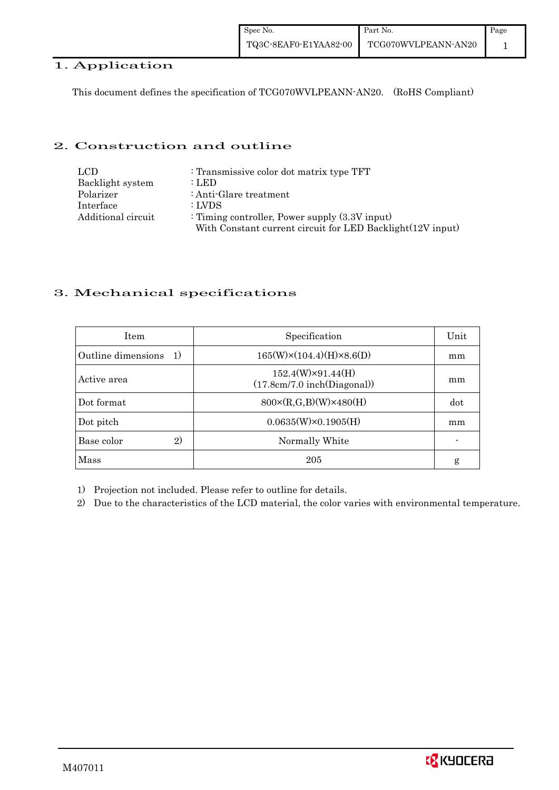| Spec No.              | Part No.            | Page |
|-----------------------|---------------------|------|
| TQ3C-8EAF0-E1YAA82-00 | TCG070WVLPEANN-AN20 |      |

# 1. Application

This document defines the specification of TCG070WVLPEANN-AN20. (RoHS Compliant)

### 2. Construction and outline

| LCD.               | : Transmissive color dot matrix type TFT                   |
|--------------------|------------------------------------------------------------|
| Backlight system   | : LED                                                      |
| Polarizer          | : Anti-Glare treatment                                     |
| Interface          | : LVDS                                                     |
| Additional circuit | : Timing controller, Power supply $(3.3V)$ input)          |
|                    | With Constant current circuit for LED Backlight(12V input) |

## 3. Mechanical specifications

| <b>Item</b>                        | Specification                                           | Unit |
|------------------------------------|---------------------------------------------------------|------|
| Outline dimensions<br><sup>1</sup> | $165(W)\times(104.4)(H)\times8.6(D)$                    | mm   |
| Active area                        | $152.4(W)\times91.44(H)$<br>(17.8cm/7.0 inch(Diagonal)) | mm   |
| Dot format                         | $800 \times (R, G, B)(W) \times 480(H)$                 | dot  |
| Dot pitch                          | $0.0635(W)\times0.1905(H)$                              | mm   |
| 2)<br>Base color                   | Normally White                                          |      |
| Mass                               | 205                                                     | g    |

1) Projection not included. Please refer to outline for details.

2) Due to the characteristics of the LCD material, the color varies with environmental temperature.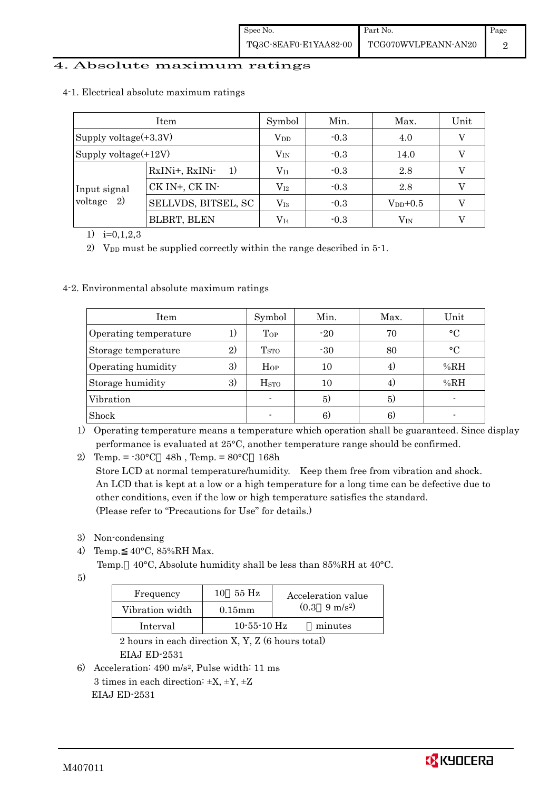### 4. Absolute maximum ratings

|                          | Item                               | Symbol       | Min.   | Max.         | Unit |
|--------------------------|------------------------------------|--------------|--------|--------------|------|
| Supply voltage $(+3.3V)$ |                                    | $\rm V_{DD}$ | $-0.3$ | 4.0          |      |
| Supply voltage $(+12V)$  |                                    | $\rm V_{IN}$ | $-0.3$ | 14.0         |      |
| Input signal             | RxINi+, RxINi-<br>$\left(1\right)$ | $\rm V_{I1}$ | $-0.3$ | 2.8          |      |
|                          | CK IN+, CK IN-                     | $\rm V_{I2}$ | $-0.3$ | 2.8          |      |
| voltage $2)$             | SELLVDS, BITSEL, SC                | $\rm V_{I3}$ | $-0.3$ | $V_{DD}+0.5$ |      |
|                          | BLBRT, BLEN                        | $\rm V_{I4}$ | $-0.3$ | $\rm V_{IN}$ |      |

4-1. Electrical absolute maximum ratings

1)  $i=0,1,2,3$ 

2) V<sub>DD</sub> must be supplied correctly within the range described in  $5$ -1.

#### 4-2. Environmental absolute maximum ratings

| Item                  |    | Symbol                   | Min.  | Max. | Unit      |
|-----------------------|----|--------------------------|-------|------|-----------|
| Operating temperature | 1) | Top                      | $-20$ | 70   | $\circ$ C |
| Storage temperature   | 2) | T <sub>STO</sub>         | $-30$ | 80   | $\circ$ C |
| Operating humidity    | 3) | $H_{OP}$                 | 10    | 4)   | %RH       |
| Storage humidity      | 3) | H <sub>STO</sub>         | 10    | 4)   | %RH       |
| Vibration             |    | $\overline{\phantom{a}}$ | 5)    | 5)   |           |
| Shock                 |    | $\overline{\phantom{0}}$ | 6)    | 6)   |           |

1) Operating temperature means a temperature which operation shall be guaranteed. Since display performance is evaluated at 25°C, another temperature range should be confirmed.

2) Temp. =  $-30^{\circ}$ C 48h, Temp. =  $80^{\circ}$ C 168h Store LCD at normal temperature/humidity. Keep them free from vibration and shock. An LCD that is kept at a low or a high temperature for a long time can be defective due to other conditions, even if the low or high temperature satisfies the standard. (Please refer to "Precautions for Use" for details.)

- 3) Non-condensing
- 4) Temp. 40°C, 85%RH Max.
	- Temp. 40°C, Absolute humidity shall be less than 85%RH at 40°C.
- 5)

| Frequency       | 55 H <sub>z</sub><br>10 | Acceleration value            |
|-----------------|-------------------------|-------------------------------|
| Vibration width | $0.15$ m m              | $(0.3 \quad 9 \text{ m/s}^2)$ |
| Interval        | $10 - 55 - 10$ Hz       | minutes                       |

 2 hours in each direction X, Y, Z (6 hours total) EIAJ ED-2531

6) Acceleration: 490 m/s2, Pulse width: 11 ms 3 times in each direction:  $\pm X$ ,  $\pm Y$ ,  $\pm Z$ EIAJ ED-2531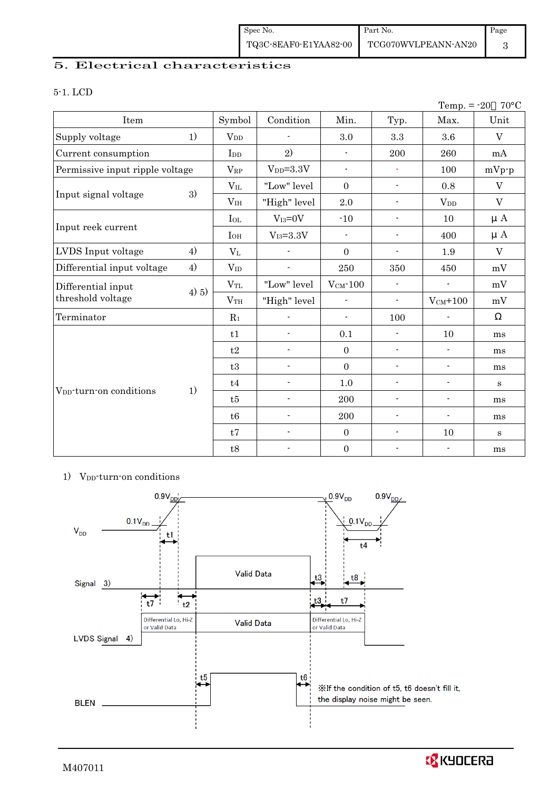## 5. Electrical characteristics

#### 5-1. LCD

| Temp. $= -20$<br>$70^{\circ}$ C     |       |                 |                          |                          |                          |                          |                           |
|-------------------------------------|-------|-----------------|--------------------------|--------------------------|--------------------------|--------------------------|---------------------------|
| Item                                |       | Symbol          | Condition                | Min.                     | Typ.                     | Max.                     | Unit                      |
| Supply voltage                      | 1)    | $V_{DD}$        |                          | 3.0                      | $\!3.3\!$                | 3.6                      | $\rm V$                   |
| Current consumption                 |       | I <sub>DD</sub> | 2)                       | $\blacksquare$           | 200                      | 260                      | mA                        |
| Permissive input ripple voltage     |       | $\rm V_{RP}$    | $V_{DD}=3.3V$            | $\overline{\phantom{a}}$ | $\blacksquare$           | 100                      | $mVp-p$                   |
|                                     |       | $V_{IL}$        | "Low" level              | $\mathbf{0}$             | $\blacksquare$           | 0.8                      | $\ensuremath{\mathbf{V}}$ |
| Input signal voltage                | 3)    | V <sub>IH</sub> | "High" level             | $2.0\,$                  | $\overline{\phantom{a}}$ | <b>V</b> <sub>DD</sub>   | $\mathbf V$               |
|                                     |       | $I_{OL}$        | $V_{I3}=0V$              | $-10$                    | $\blacksquare$           | 10                       | $\mu A$                   |
| Input reek current                  |       | $I_{OH}$        | $V_{I3} = 3.3V$          | $\overline{\phantom{0}}$ | $\blacksquare$           | 400                      | $\mu A$                   |
| LVDS Input voltage                  | 4)    | $\rm V_{L}$     |                          | $\mathbf{0}$             | $\overline{\phantom{a}}$ | 1.9                      | $\overline{V}$            |
| Differential input voltage          | 4)    | $V_{ID}$        | $\overline{a}$           | 250                      | 350                      | 450                      | mV                        |
| Differential input                  |       | $V_{TL}$        | "Low" level              | $V_{CM}$ -100            | $\overline{\phantom{a}}$ | $\blacksquare$           | mV                        |
| threshold voltage                   | 4) 5) | V <sub>TH</sub> | "High" level             | $\blacksquare$           | $\overline{\phantom{a}}$ | $V_{CM}$ +100            | mV                        |
| Terminator                          |       | $R_1$           |                          | $\overline{\phantom{a}}$ | 100                      |                          |                           |
|                                     |       | t1              | $\overline{a}$           | 0.1                      | $\overline{\phantom{a}}$ | 10                       | ms                        |
|                                     |       | t2              | $\overline{\phantom{a}}$ | $\mathbf{0}$             | $\overline{\phantom{a}}$ | $\overline{\phantom{a}}$ | ms                        |
|                                     |       | t3              | $\overline{a}$           | $\mathbf{0}$             | $\overline{a}$           | $\overline{a}$           | ms                        |
| V <sub>DD</sub> -turn-on conditions |       | t4              | $\overline{\phantom{a}}$ | 1.0                      | $\blacksquare$           | $\blacksquare$           | S                         |
|                                     | 1)    | t5              | $\overline{\phantom{0}}$ | 200                      | $\overline{\phantom{a}}$ | $\overline{\phantom{a}}$ | ms                        |
|                                     |       | t6              | $\overline{\phantom{a}}$ | 200                      | $\overline{\phantom{a}}$ | $\overline{\phantom{a}}$ | ms                        |
|                                     |       | t7              | $\overline{\phantom{0}}$ | $\mathbf{0}$             | $\overline{\phantom{a}}$ | 10                       | $\mathbf{s}$              |
|                                     |       | t8              |                          | $\boldsymbol{0}$         |                          | $\overline{\phantom{a}}$ | ms                        |

#### 1) V<sub>DD</sub>-turn-on conditions



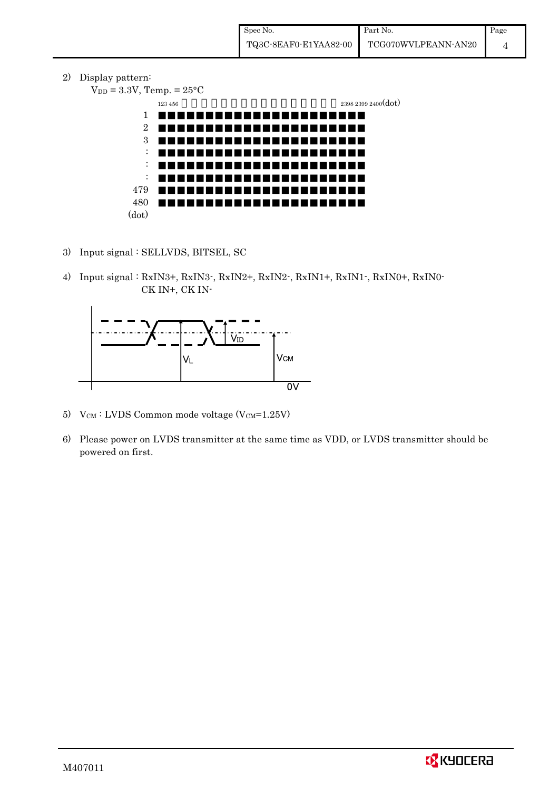2) Display pattern:

 $V_{DD} = 3.3V$ , Temp. =  $25^{\circ}$ C  $123\,456$   $2398\,2399\,2400(\text{dot})$ 1 2 3 : : : 479 480 (dot)

- 3) Input signal : SELLVDS, BITSEL, SC
- 4) Input signal : RxIN3+, RxIN3-, RxIN2+, RxIN2-, RxIN1+, RxIN1-, RxIN0+, RxIN0- CK IN+, CK IN-



- 5)  $V_{CM}$ : LVDS Common mode voltage (V $_{CM}$ =1.25V)
- 6) Please power on LVDS transmitter at the same time as VDD, or LVDS transmitter should be powered on first.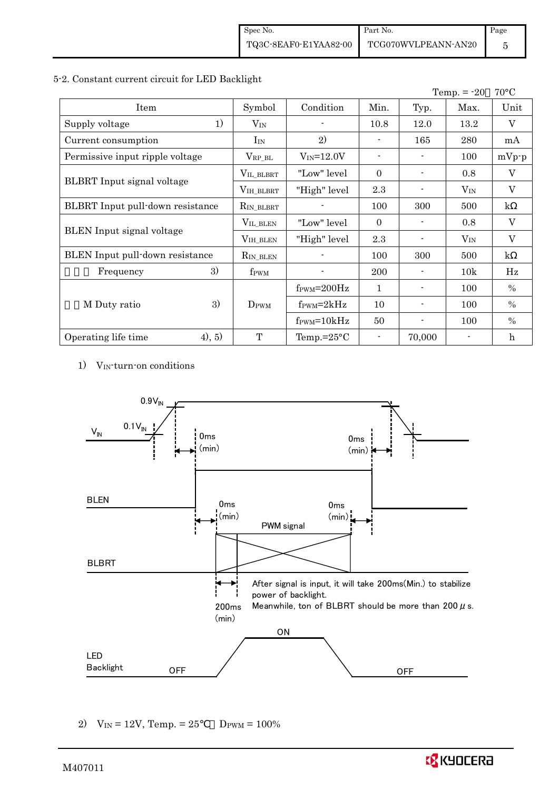#### 5-2. Constant current circuit for LED Backlight

|                                         |                    |                                  |                          |                | Temp. $= -20$ | $70^{\circ}$ C |
|-----------------------------------------|--------------------|----------------------------------|--------------------------|----------------|---------------|----------------|
| Item                                    | Symbol             | Condition                        | Min.                     | Typ.           | Max.          | Unit           |
| 1)<br>Supply voltage                    | $V_{IN}$           |                                  | 10.8                     | 12.0           | 13.2          | V              |
| Current consumption                     | $I_{IN}$           | 2)                               | $\overline{\phantom{a}}$ | 165            | 280           | mA             |
| Permissive input ripple voltage         | $\rm V_{RP\_BL}$   | $V_{IN} = 12.0V$                 | $\blacksquare$           |                | 100           | $mVp-p$        |
|                                         | VIL_BLBRT          | "Low" level                      | $\Omega$                 | $\blacksquare$ | 0.8           | V              |
| <b>BLBRT</b> Input signal voltage       | VIH_BLBRT          | "High" level                     | 2.3                      |                | $V_{IN}$      | $\mathbf V$    |
| <b>BLBRT</b> Input pull-down resistance | $R_{IN\_BLBRT}$    |                                  | 100                      | 300            | 500           | $\mathbf{k}$   |
|                                         | $V_{\rm IL\_BLEN}$ | "Low" level                      | $\Omega$                 |                | 0.8           | V              |
| <b>BLEN</b> Input signal voltage        | $VIH_BLEN$         | "High" level                     | 2.3                      |                | $V_{IN}$      | $\mathbf V$    |
| <b>BLEN</b> Input pull-down resistance  | $R_{IN\_BLEN}$     |                                  | 100                      | 300            | 500           | $\mathbf{k}$   |
| 3)<br>Frequency                         | f <sub>PWM</sub>   |                                  | 200                      |                | 10k           | Hz             |
|                                         |                    | $f_{\text{PWM}} = 200 \text{Hz}$ | $\mathbf{1}$             | $\blacksquare$ | 100           | $\%$           |
| 3)<br>M Duty ratio                      | $D_{\rm PWM}$      | $f_{\rm PWM} = 2kHz$             | 10                       | -              | 100           | $\%$           |
|                                         |                    | $f_{\text{PWM}} = 10kHz$         | 50                       |                | 100           | $\%$           |
| (4), 5)<br>Operating life time          | T                  | Temp.= $25^{\circ}$ C            |                          | 70,000         |               | $\mathbf h$    |

1) VIN-turn-on conditions



2)  $V_{IN} = 12V$ , Temp. = 25  $D_{PWM} = 100\%$ 

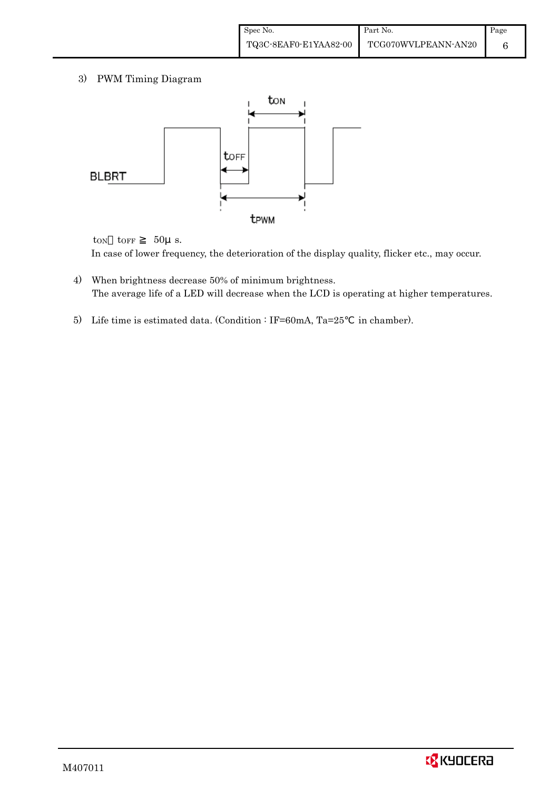3) PWM Timing Diagram



 $t_{ON}$   $t_{OFF}$  50 $\mu$  s. In case of lower frequency, the deterioration of the display quality, flicker etc., may occur.

- 4) When brightness decrease 50% of minimum brightness. The average life of a LED will decrease when the LCD is operating at higher temperatures.
- 5) Life time is estimated data. (Condition : IF=60mA, Ta=25 in chamber).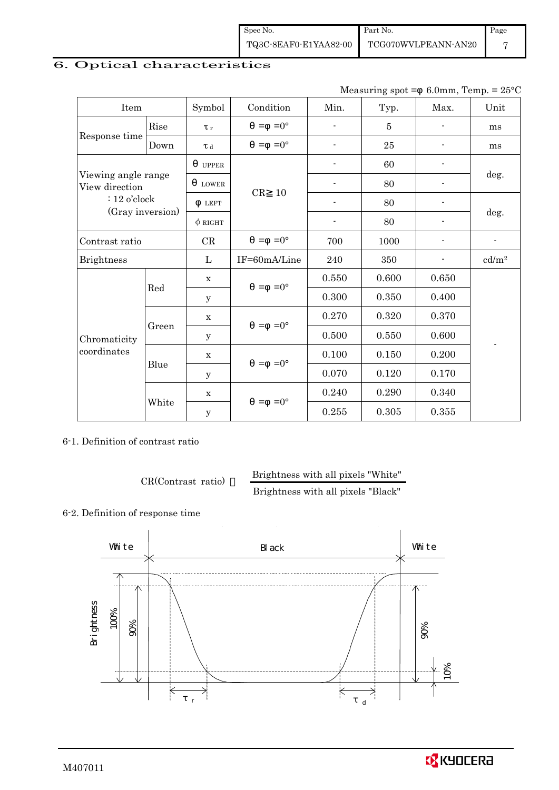| Spec No.              | Part No.            | Page |
|-----------------------|---------------------|------|
| TQ3C-8EAF0-E1YAA82-00 | TCG070WVLPEANN-AN20 |      |

## 6. Optical characteristics

Measuring spot =  $6.0$ mm, Temp. =  $25^{\circ}$ C

| Item                                  |       | Symbol              | Condition           | Min.                     | Typ.           | Max.           | Unit                       |
|---------------------------------------|-------|---------------------|---------------------|--------------------------|----------------|----------------|----------------------------|
|                                       | Rise  | $\tau_r$            | $=0^{\circ}$<br>$=$ |                          | $\overline{5}$ |                | ms                         |
| Response time<br>Down                 |       | $\tau$ <sub>d</sub> | $=0^{\circ}$<br>$=$ | $\blacksquare$           | 25             |                | ms                         |
| Viewing angle range<br>View direction |       | <b>UPPER</b>        |                     |                          | 60             |                | deg.                       |
|                                       |       | <b>LOWER</b>        |                     |                          | 80             |                |                            |
| $: 12$ o'clock                        |       | <b>LEFT</b>         | CR<br>10            | $\overline{\phantom{a}}$ | 80             | ٠              |                            |
| (Gray inversion)                      |       | $\phi$ RIGHT        |                     | $\blacksquare$           | 80             | $\blacksquare$ | deg.                       |
| Contrast ratio                        |       | CR                  | $=0^{\circ}$<br>$=$ | 700                      | 1000           |                |                            |
| <b>Brightness</b>                     |       | L                   | IF=60mA/Line        | 240                      | 350            |                | $\mathrm{cd}/\mathrm{m}^2$ |
|                                       | Red   | $\mathbf x$         | $=$ =0 $^{\circ}$   | 0.550                    | 0.600          | 0.650          |                            |
|                                       |       | y                   |                     | 0.300                    | 0.350          | 0.400          |                            |
|                                       |       | $\mathbf X$         | $=0^{\circ}$<br>$=$ | 0.270                    | 0.320          | 0.370          |                            |
| Chromaticity                          | Green | у                   |                     | 0.500                    | 0.550          | 0.600          |                            |
| coordinates                           |       | $\mathbf X$         | $=0^{\circ}$<br>$=$ | 0.100                    | 0.150          | 0.200          |                            |
|                                       | Blue  | y                   |                     | 0.070                    | 0.120          | 0.170          |                            |
|                                       |       | $\mathbf X$         | $=0^{\circ}$<br>$=$ | 0.240                    | 0.290          | 0.340          |                            |
|                                       | White | $\mathbf y$         |                     | 0.255                    | 0.305          | 0.355          |                            |

6-1. Definition of contrast ratio

CR(Contrast ratio) Brightness with all pixels "White"

Brightness with all pixels "Black"

### 6-2. Definition of response time



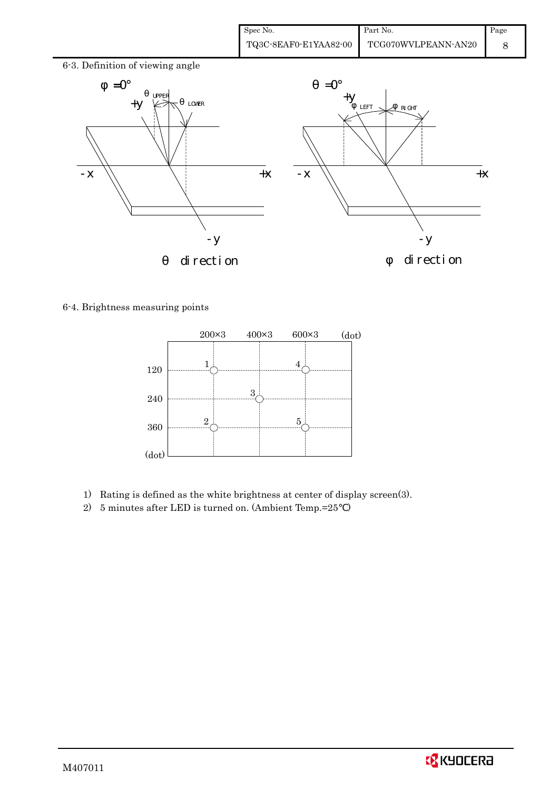| Spec No.              | Part No.            | Page |
|-----------------------|---------------------|------|
| TQ3C-8EAF0-E1YAA82-00 | TCG070WVLPEANN-AN20 |      |



6-4. Brightness measuring points



- 1) Rating is defined as the white brightness at center of display screen(3).
- 2) 5 minutes after LED is turned on. (Ambient Temp.=25 )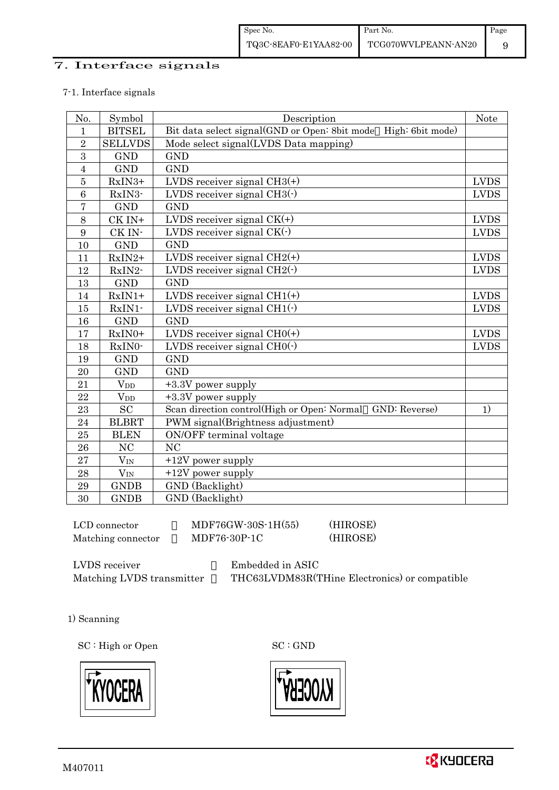### 7. Interface signals

#### 7-1. Interface signals

| No.            | Symbol                 | Description                                                    | <b>Note</b> |
|----------------|------------------------|----------------------------------------------------------------|-------------|
| 1              | <b>BITSEL</b>          | Bit data select signal(GND or Open: 8bit mode High: 6bit mode) |             |
| $\overline{2}$ | <b>SELLVDS</b>         | Mode select signal(LVDS Data mapping)                          |             |
| 3              | <b>GND</b>             | <b>GND</b>                                                     |             |
| $\overline{4}$ | <b>GND</b>             | <b>GND</b>                                                     |             |
| $\overline{5}$ | RxIN3+                 | LVDS receiver signal $CH3(+)$                                  | <b>LVDS</b> |
| 6              | RxIN3-                 | LVDS receiver signal $CH3$ ( $\cdot$ )                         | <b>LVDS</b> |
| $\overline{7}$ | <b>GND</b>             | <b>GND</b>                                                     |             |
| 8              | CK IN+                 | LVDS receiver signal $CK(+)$                                   | <b>LVDS</b> |
| 9              | CK IN-                 | LVDS receiver signal $CK(\cdot)$                               | <b>LVDS</b> |
| 10             | <b>GND</b>             | <b>GND</b>                                                     |             |
| 11             | $RxIN2+$               | LVDS receiver signal $CH2(+)$                                  | <b>LVDS</b> |
| 12             | RxIN2-                 | LVDS receiver signal $CH2(\cdot)$                              | <b>LVDS</b> |
| 13             | <b>GND</b>             | <b>GND</b>                                                     |             |
| 14             | $RxIN1+$               | LVDS receiver signal $CH1(+)$                                  | <b>LVDS</b> |
| 15             | RxIN1-                 | LVDS receiver signal $CH1(\cdot)$                              | <b>LVDS</b> |
| 16             | <b>GND</b>             | <b>GND</b>                                                     |             |
| 17             | $RxIN0+$               | LVDS receiver signal $CHO(+)$                                  | <b>LVDS</b> |
| 18             | RxIN0-                 | LVDS receiver signal $CHO(·)$                                  | <b>LVDS</b> |
| 19             | <b>GND</b>             | <b>GND</b>                                                     |             |
| $20\,$         | <b>GND</b>             | <b>GND</b>                                                     |             |
| 21             | <b>V</b> <sub>DD</sub> | +3.3V power supply                                             |             |
| 22             | <b>V</b> <sub>DD</sub> | $+3.3V$ power supply                                           |             |
| 23             | <b>SC</b>              | Scan direction control(High or Open: Normal<br>GND: Reverse)   | 1)          |
| 24             | <b>BLBRT</b>           | PWM signal(Brightness adjustment)                              |             |
| 25             | <b>BLEN</b>            | ON/OFF terminal voltage                                        |             |
| 26             | N <sub>C</sub>         | N <sub>C</sub>                                                 |             |
| 27             | $V_{IN}$               | $+12V$ power supply                                            |             |
| 28             | $V_{IN}$               | $+12V$ power supply                                            |             |
| 29             | <b>GNDB</b>            | GND (Backlight)                                                |             |
| 30             | <b>GNDB</b>            | GND (Backlight)                                                |             |

 $LCD$  connector  $MDF76GW-30S-1H(55)$  (HIROSE) Matching connector  $MDF76-30P-1C$  (HIROSE)

LVDS receiver : Embedded in ASIC

Matching LVDS transmitter THC63LVDM83R(THine Electronics) or compatible

1) Scanning

SC : High or Open SC : GND





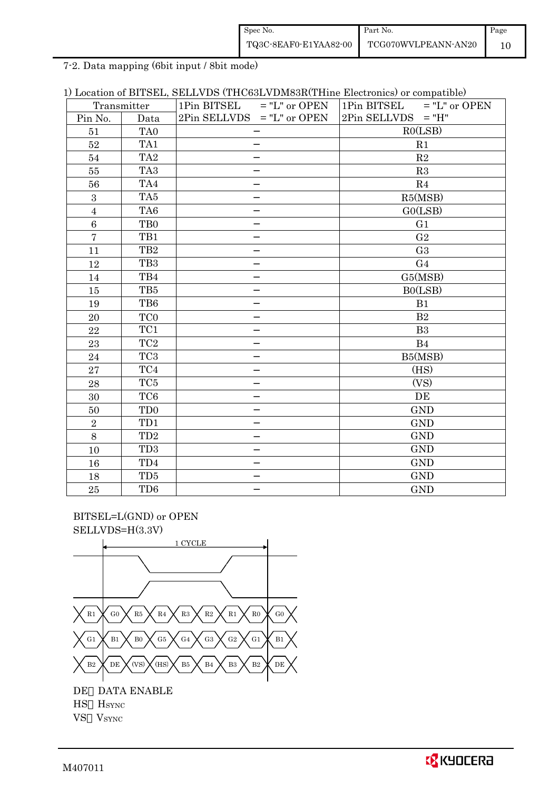| Spec No.              | Part No.            | Page |
|-----------------------|---------------------|------|
| TQ3C-8EAF0-E1YAA82-00 | TCG070WVLPEANN-AN20 |      |

7-2. Data mapping (6bit input / 8bit mode)

| 1) Location of BITSEL, SELLVDS (THC63LVDM83R(THine Electronics) or compatible) |
|--------------------------------------------------------------------------------|
|--------------------------------------------------------------------------------|

|                | Transmitter                 | 1Pin BITSEL<br>$=$ "L" or OPEN | $=$ "L" or OPEN<br>1Pin BITSEL |  |  |
|----------------|-----------------------------|--------------------------------|--------------------------------|--|--|
| Pin No.        | Data                        | $2Pin$ SELLVDS = "L" or OPEN   | $2Pin$ SELLVDS = "H"           |  |  |
| 51             | TA0                         |                                | RO(LSB)                        |  |  |
| 52             | TA1                         |                                | R1                             |  |  |
| 54             | TA <sub>2</sub>             |                                | R2                             |  |  |
| 55             | TA <sub>3</sub>             |                                | R3                             |  |  |
| 56             | TA4                         |                                | R <sub>4</sub>                 |  |  |
| $\overline{3}$ | TA5                         |                                | R5(MSB)                        |  |  |
| $\sqrt{4}$     | TA6                         |                                | GO(LSB)                        |  |  |
| 6              | TB <sub>0</sub>             |                                | G1                             |  |  |
| $\overline{7}$ | TB1                         |                                | G <sub>2</sub>                 |  |  |
| 11             | TB <sub>2</sub>             |                                | G <sub>3</sub>                 |  |  |
| 12             | TB <sub>3</sub>             |                                | G <sub>4</sub>                 |  |  |
| 14             | TB4                         |                                | G5(MSB)                        |  |  |
| 15             | TB5                         |                                | B0(LSB)                        |  |  |
| 19             | TB6                         |                                | B1                             |  |  |
| 20             | TC <sub>0</sub>             |                                | B <sub>2</sub>                 |  |  |
| 22             | TC1                         |                                | B <sub>3</sub>                 |  |  |
| 23             | $\rm TC2$                   |                                | B <sub>4</sub>                 |  |  |
| 24             | TC <sub>3</sub>             |                                | B5(MSB)                        |  |  |
| 27             | TC4                         |                                | (HS)                           |  |  |
| 28             | TC5                         |                                | (VS)                           |  |  |
| 30             | TC <sub>6</sub>             |                                | DE                             |  |  |
| 50             | T <sub>D</sub> <sub>0</sub> |                                | <b>GND</b>                     |  |  |
| $\,2$          | TD1                         |                                | <b>GND</b>                     |  |  |
| $8\,$          | TD <sub>2</sub>             |                                | <b>GND</b>                     |  |  |
| 10             | TD <sub>3</sub>             |                                | <b>GND</b>                     |  |  |
| 16             | TD4                         |                                | <b>GND</b>                     |  |  |
| 18             | TD <sub>5</sub>             |                                | <b>GND</b>                     |  |  |
| 25             | TD <sub>6</sub>             |                                | <b>GND</b>                     |  |  |

 BITSEL=L(GND) or OPEN SELLVDS=H(3.3V)



VS VSYNC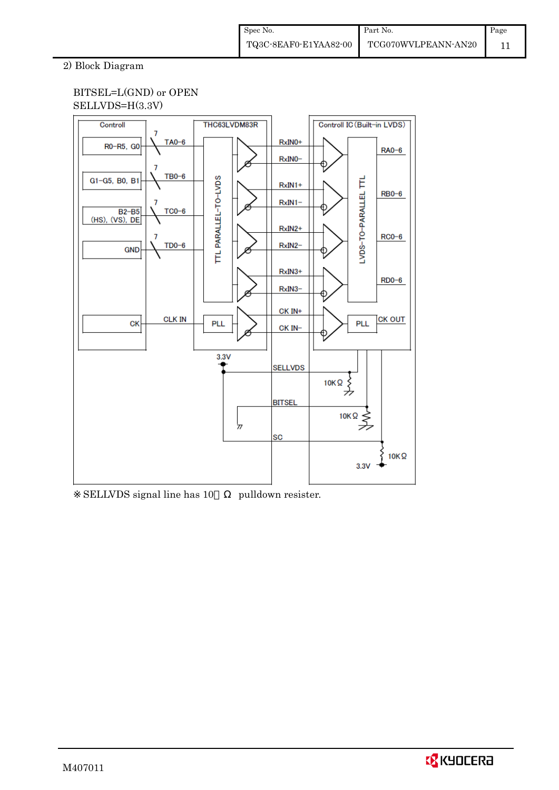## 2) Block Diagram

## BITSEL=L(GND) or OPEN SELLVDS=H(3.3V)



SELLVDS signal line has 10 pulldown resister.

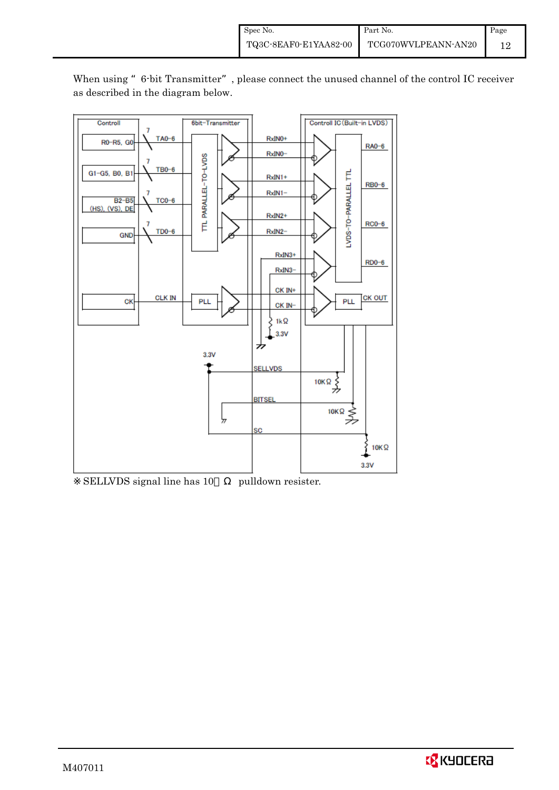

When using "6-bit Transmitter", please connect the unused channel of the control IC receiver as described in the diagram below.

SELLVDS signal line has 10 pulldown resister.

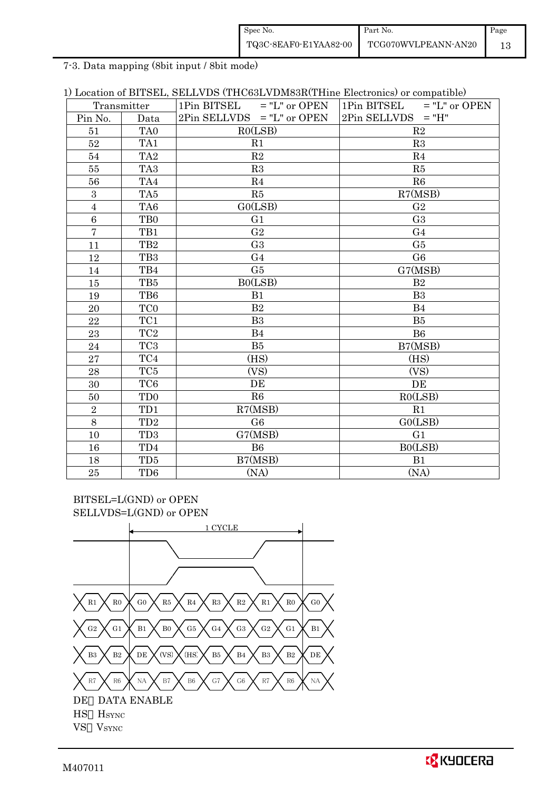| Spec No.              | Part No.            | Page |
|-----------------------|---------------------|------|
| TQ3C-8EAF0-E1YAA82-00 | TCG070WVLPEANN-AN20 |      |

7-3. Data mapping (8bit input / 8bit mode)

| 1) Location of BITSEL, SELLVDS (THC63LVDM83R(THine Electronics) or compatible) |  |
|--------------------------------------------------------------------------------|--|
|--------------------------------------------------------------------------------|--|

| Transmitter    |                             | 1Pin BITSEL $=$ "L" or OPEN  | 1Pin BITSEL $=$ "L" or OPEN |  |
|----------------|-----------------------------|------------------------------|-----------------------------|--|
| Pin No.        | Data                        | $2Pin$ SELLVDS = "L" or OPEN | $2Pin$ SELLVDS = "H"        |  |
| 51             | TA <sub>0</sub>             | RO(LSB)                      | R2                          |  |
| 52             | TA1                         | R1                           | R3                          |  |
| 54             | TA <sub>2</sub>             | R2                           | R <sub>4</sub>              |  |
| 55             | TA <sub>3</sub>             | R3                           | R5                          |  |
| 56             | TA4                         | R <sub>4</sub>               | R6                          |  |
| $\sqrt{3}$     | TA5                         | R5                           | R7(MSB)                     |  |
| $\overline{4}$ | TA6                         | GO(LSB)                      | G <sub>2</sub>              |  |
| $\,6\,$        | T <sub>B0</sub>             | G <sub>1</sub>               | G <sub>3</sub>              |  |
| $\overline{7}$ | TB1                         | G <sub>2</sub>               | G <sub>4</sub>              |  |
| 11             | TB <sub>2</sub>             | G <sub>3</sub>               | G5                          |  |
| 12             | TB <sub>3</sub>             | G <sub>4</sub>               | G6                          |  |
| 14             | TB4                         | G5                           | G7(MSB)                     |  |
| 15             | TB5                         | BO(LSB)                      | B <sub>2</sub>              |  |
| 19             | TB6                         | B1                           | B <sub>3</sub>              |  |
| 20             | TC <sub>0</sub>             | B <sub>2</sub>               | B4                          |  |
| 22             | TC1                         | B <sub>3</sub>               | B <sub>5</sub>              |  |
| 23             | TC <sub>2</sub>             | B <sub>4</sub>               | B <sub>6</sub>              |  |
| 24             | TC <sub>3</sub>             | B <sub>5</sub>               | B7(MSB)                     |  |
| 27             | TC4                         | (HS)                         | (HS)                        |  |
| 28             | TC <sub>5</sub>             | (VS)                         | (VS)                        |  |
| 30             | TC <sub>6</sub>             | DE                           | DE                          |  |
| 50             | T <sub>D</sub> <sub>0</sub> | R6                           | RO(LSB)                     |  |
| $\overline{2}$ | TD1                         | R7(MSB)                      | R1                          |  |
| 8              | TD <sub>2</sub>             | G <sub>6</sub>               | GO(LSB)                     |  |
| 10             | TD <sub>3</sub>             | G7(MSB)                      | G <sub>1</sub>              |  |
| 16             | TD4                         | <b>B6</b>                    | B0(LSB)                     |  |
| 18             | TD <sub>5</sub>             | B7(MSB)                      | B1                          |  |
| 25             | TD <sub>6</sub>             | (NA)                         | (NA)                        |  |

BITSEL=L(GND) or OPEN SELLVDS=L(GND) or OPEN

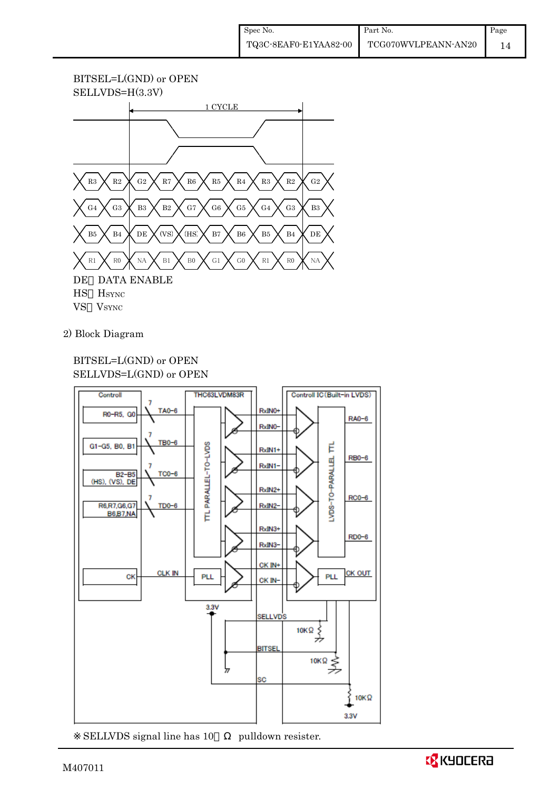## BITSEL=L(GND) or OPEN SELLVDS=H(3.3V)



2) Block Diagram

## BITSEL=L(GND) or OPEN SELLVDS=L(GND) or OPEN



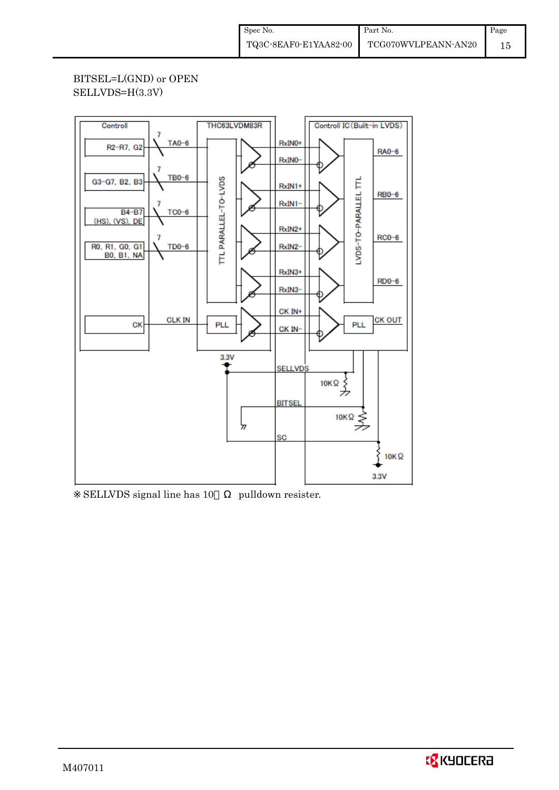## BITSEL=L(GND) or OPEN SELLVDS=H(3.3V)



SELLVDS signal line has 10 pulldown resister.

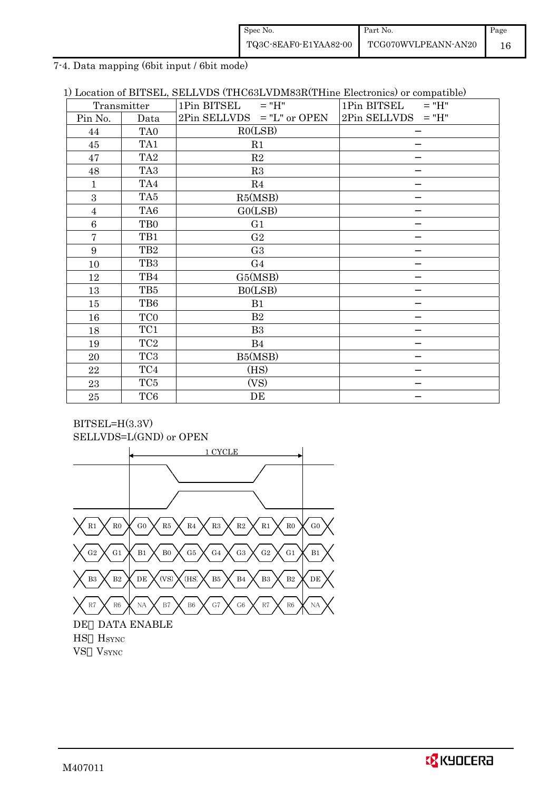| Spec No.              | Part No.            | Page |
|-----------------------|---------------------|------|
| TQ3C-8EAF0-E1YAA82-00 | TCG070WVLPEANN-AN20 |      |

7-4. Data mapping (6bit input / 6bit mode)

| 1) Location of BITSEL, SELLVDS (THC63LVDM83R(THine Electronics) or compatible) |  |  |  |  |  |  |  |  |
|--------------------------------------------------------------------------------|--|--|--|--|--|--|--|--|
|--------------------------------------------------------------------------------|--|--|--|--|--|--|--|--|

|                 | Transmitter     | $1Pin$ BITSEL = "H"          | $\overline{\phantom{a}}$<br>1Pin BITSEL<br>$=$ "H" |
|-----------------|-----------------|------------------------------|----------------------------------------------------|
| Pin No.         | Data            | $2Pin$ SELLVDS = "L" or OPEN | $2Pin$ SELLVDS = "H"                               |
| 44              | TA <sub>0</sub> | RO(LSB)                      |                                                    |
| 45              | TA1             | R1                           |                                                    |
| 47              | TA <sub>2</sub> | R2                           |                                                    |
| 48              | TA <sub>3</sub> | R3                           |                                                    |
| $\mathbf{1}$    | TA4             | R4                           |                                                    |
| 3               | TA5             | R5(MSB)                      |                                                    |
| $\overline{4}$  | TA <sub>6</sub> | GO(LSB)                      |                                                    |
| $6\phantom{.}6$ | T <sub>B0</sub> | G <sub>1</sub>               |                                                    |
| $\overline{7}$  | TB1             | G <sub>2</sub>               |                                                    |
| 9               | TB <sub>2</sub> | G <sub>3</sub>               |                                                    |
| 10              | TB <sub>3</sub> | G <sub>4</sub>               |                                                    |
| 12              | TB4             | G5(MSB)                      |                                                    |
| 13              | TB5             | B0(LSB)                      |                                                    |
| 15              | TB6             | B1                           |                                                    |
| 16              | <b>TCO</b>      | B <sub>2</sub>               |                                                    |
| 18              | TC1             | B <sub>3</sub>               |                                                    |
| 19              | TC <sub>2</sub> | <b>B</b> 4                   |                                                    |
| 20              | TC <sub>3</sub> | B5(MSB)                      |                                                    |
| 22              | TC4             | (HS)                         |                                                    |
| 23              | TC5             | (VS)                         |                                                    |
| 25              | TC6             | DE                           |                                                    |



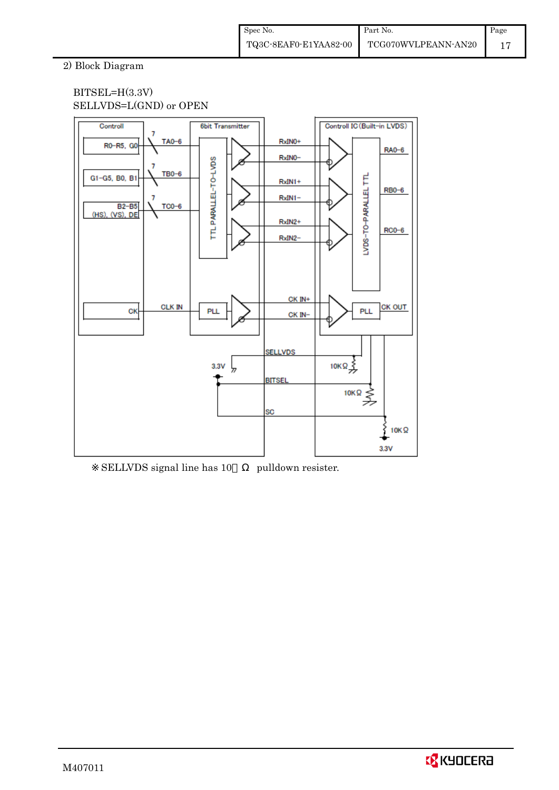## 2) Block Diagram

## BITSEL=H(3.3V) SELLVDS=L(GND) or OPEN



SELLVDS signal line has 10 pulldown resister.

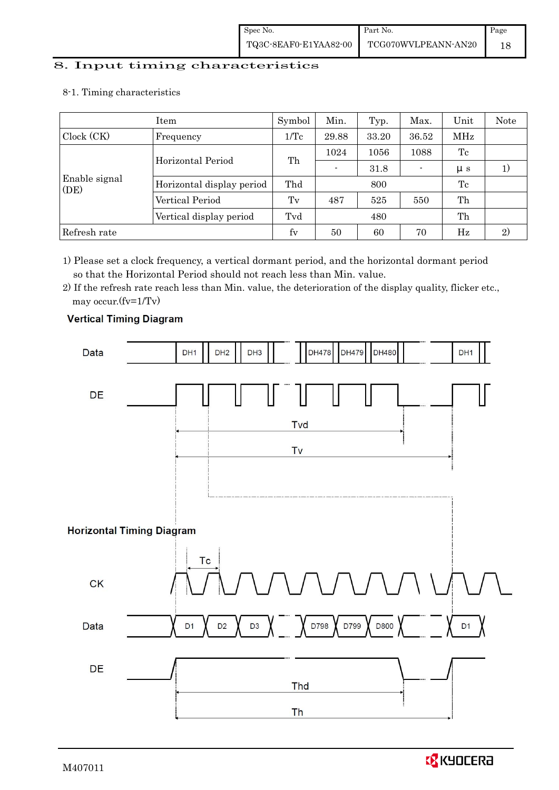# 8. Input timing characteristics  $\overline{\phantom{a}}$

8-1. Timing characteristics

|                         | Item                      | Symbol  | Min.           | Typ. | Max.  | Unit        | Note |
|-------------------------|---------------------------|---------|----------------|------|-------|-------------|------|
| Clock (CK)              | Frequency                 | 1/Tc    | 33.20<br>29.88 |      | 36.52 | MHz         |      |
| Horizontal Period       |                           |         | 1024           | 1056 | 1088  | Tc          |      |
|                         |                           | Th      | $\blacksquare$ | 31.8 |       | $\mu$ s     |      |
| Enable signal<br>(DE)   | Horizontal display period | Thd     |                | 800  |       | Tc          |      |
|                         | Vertical Period           | $T_{V}$ | 487            | 525  | 550   | Th          |      |
| Vertical display period |                           | Tvd     |                | 480  |       | Th          |      |
| Refresh rate            |                           | $f_V$   | 50             | 60   | 70    | $_{\rm Hz}$ | 2)   |

1) Please set a clock frequency, a vertical dormant period, and the horizontal dormant period so that the Horizontal Period should not reach less than Min. value.

2) If the refresh rate reach less than Min. value, the deterioration of the display quality, flicker etc., may occur.(fv=1/Tv)



## **Vertical Timing Diagram**

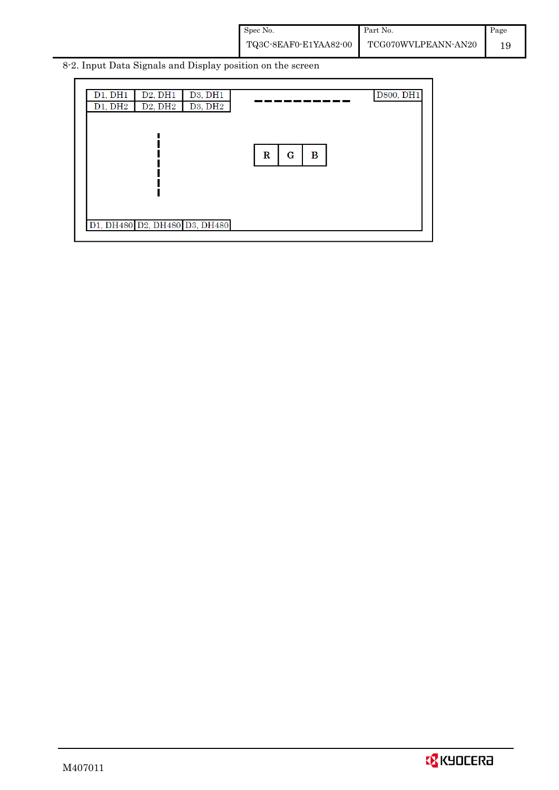Spec No. TQ3C-8EAF0-E1YAA82-00 Part No. TCG070WVLPEANN-AN20 Page 19

8-2. Input Data Signals and Display position on the screen

|                          | D800, DH1 |
|--------------------------|-----------|
|                          |           |
| $\bf{R}$<br>$\bf G$<br>В |           |
|                          |           |
|                          |           |
|                          |           |

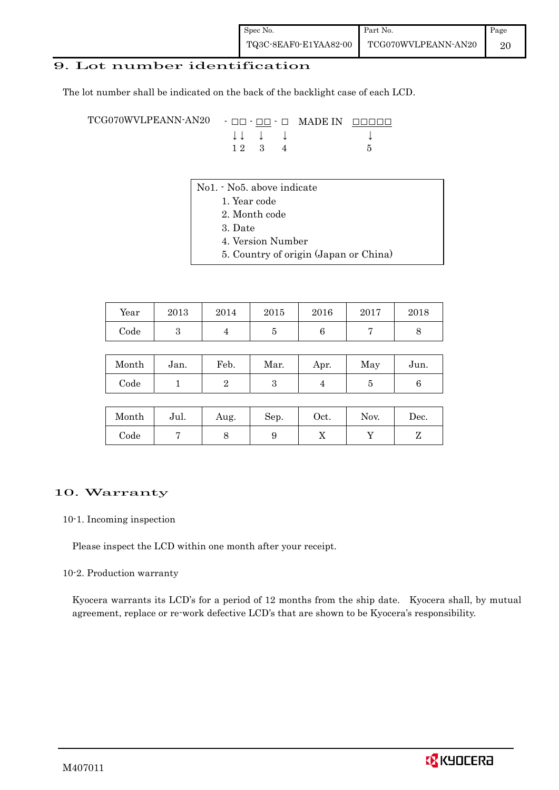## 9. Lot number identification

The lot number shall be indicated on the back of the backlight case of each LCD.

TCG070WVLPEANN-AN20 - □□ - □□ - □ MADE IN □□□□□ ↓ ↓ ↓ ↓ ↓  $12 \quad 3 \quad 4$  5

- No1. No5. above indicate
	- 1. Year code
		- 2. Month code
		- 3. Date
		- 4. Version Number
		- 5. Country of origin (Japan or China)

| Year | 2013 | 2014 | 2015 | 2016 | 2017 | 2018 |
|------|------|------|------|------|------|------|
| Code |      |      |      |      |      |      |

| Month | Jan. | Feb. | Mar. | Apr. | May | Jun. |
|-------|------|------|------|------|-----|------|
| Code  |      |      |      |      |     |      |

| Month | Jul. | Aug. | Sep. | Oct. | Nov. | Dec. |
|-------|------|------|------|------|------|------|
| Code  |      |      |      | ∡⊾   |      |      |

#### 10. Warranty

#### 10-1. Incoming inspection

Please inspect the LCD within one month after your receipt.

#### 10-2. Production warranty

 Kyocera warrants its LCD's for a period of 12 months from the ship date. Kyocera shall, by mutual agreement, replace or re-work defective LCD's that are shown to be Kyocera's responsibility.

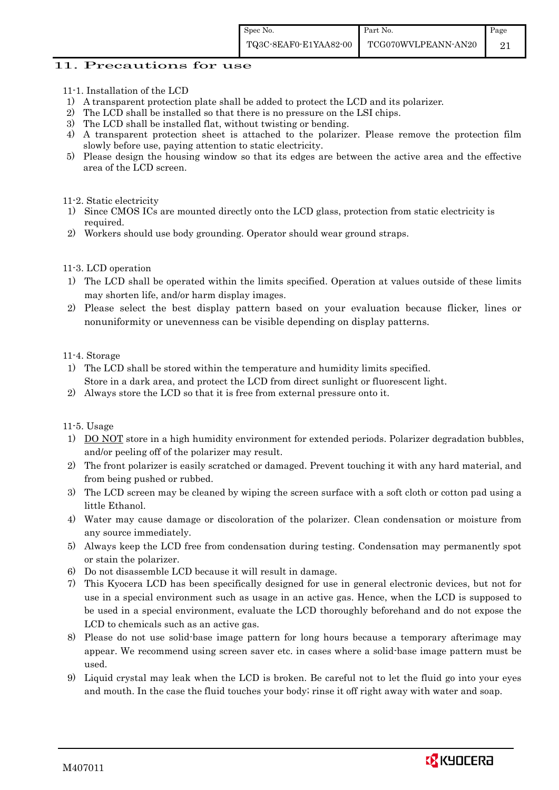### 11. Precautions for use

- 11-1. Installation of the LCD
- 1) A transparent protection plate shall be added to protect the LCD and its polarizer.
- 2) The LCD shall be installed so that there is no pressure on the LSI chips.
- 3) The LCD shall be installed flat, without twisting or bending.
- 4) A transparent protection sheet is attached to the polarizer. Please remove the protection film slowly before use, paying attention to static electricity.
- 5) Please design the housing window so that its edges are between the active area and the effective area of the LCD screen.

#### 11-2. Static electricity

- 1) Since CMOS ICs are mounted directly onto the LCD glass, protection from static electricity is required.
- 2) Workers should use body grounding. Operator should wear ground straps.

#### 11-3. LCD operation

- 1) The LCD shall be operated within the limits specified. Operation at values outside of these limits may shorten life, and/or harm display images.
- 2) Please select the best display pattern based on your evaluation because flicker, lines or nonuniformity or unevenness can be visible depending on display patterns.

#### 11-4. Storage

- 1) The LCD shall be stored within the temperature and humidity limits specified. Store in a dark area, and protect the LCD from direct sunlight or fluorescent light.
- 2) Always store the LCD so that it is free from external pressure onto it.

#### 11-5. Usage

- 1) DO NOT store in a high humidity environment for extended periods. Polarizer degradation bubbles, and/or peeling off of the polarizer may result.
- 2) The front polarizer is easily scratched or damaged. Prevent touching it with any hard material, and from being pushed or rubbed.
- 3) The LCD screen may be cleaned by wiping the screen surface with a soft cloth or cotton pad using a little Ethanol.
- 4) Water may cause damage or discoloration of the polarizer. Clean condensation or moisture from any source immediately.
- 5) Always keep the LCD free from condensation during testing. Condensation may permanently spot or stain the polarizer.
- 6) Do not disassemble LCD because it will result in damage.
- 7) This Kyocera LCD has been specifically designed for use in general electronic devices, but not for use in a special environment such as usage in an active gas. Hence, when the LCD is supposed to be used in a special environment, evaluate the LCD thoroughly beforehand and do not expose the LCD to chemicals such as an active gas.
- 8) Please do not use solid-base image pattern for long hours because a temporary afterimage may appear. We recommend using screen saver etc. in cases where a solid-base image pattern must be used.
- 9) Liquid crystal may leak when the LCD is broken. Be careful not to let the fluid go into your eyes and mouth. In the case the fluid touches your body; rinse it off right away with water and soap.

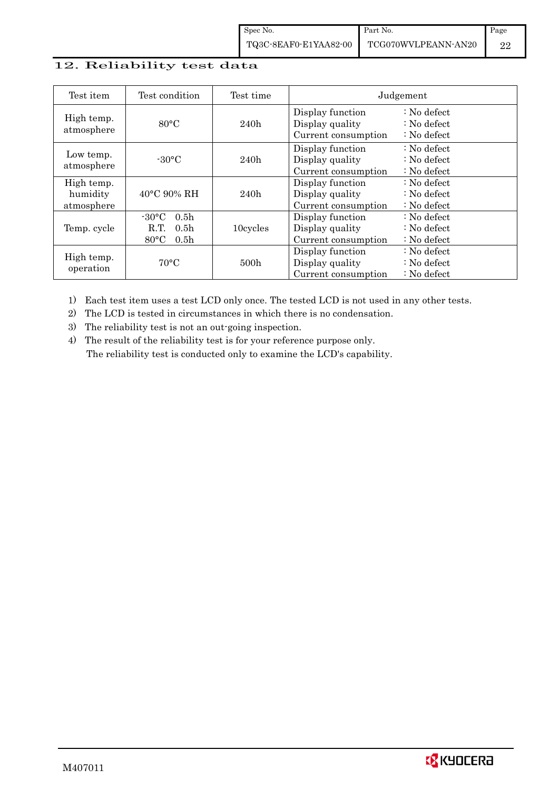## 12. Reliability test data

| Test item                            | Test condition                                                                                        | Test time        |                                                            | Judgement                                                                  |
|--------------------------------------|-------------------------------------------------------------------------------------------------------|------------------|------------------------------------------------------------|----------------------------------------------------------------------------|
| High temp.<br>atmosphere             | $80^{\circ}$ C                                                                                        | 240h             | Display function<br>Display quality<br>Current consumption | $\therefore$ No defect<br>$\therefore$ No defect<br>$\therefore$ No defect |
| Low temp.<br>atmosphere              | $-30$ °C                                                                                              | 240h             | Display function<br>Display quality<br>Current consumption | $\therefore$ No defect<br>: No defect<br>$\therefore$ No defect            |
| High temp.<br>humidity<br>atmosphere | $40^{\circ}$ C 90% RH                                                                                 | 240h             | Display function<br>Display quality<br>Current consumption | : No defect<br>$\therefore$ No defect<br>$\therefore$ No defect            |
| Temp. cycle                          | $-30^{\circ}$ C<br>0.5 <sub>h</sub><br>0.5 <sub>h</sub><br>R.T.<br>$80^{\circ}$ C<br>0.5 <sub>h</sub> | 10cycles         | Display function<br>Display quality<br>Current consumption | $\therefore$ No defect<br>$\therefore$ No defect<br>$\therefore$ No defect |
| High temp.<br>operation              | $70^{\circ}$ C                                                                                        | 500 <sub>h</sub> | Display function<br>Display quality<br>Current consumption | : No defect<br>$\therefore$ No defect<br>$\therefore$ No defect            |

1) Each test item uses a test LCD only once. The tested LCD is not used in any other tests.

2) The LCD is tested in circumstances in which there is no condensation.

3) The reliability test is not an out-going inspection.

4) The result of the reliability test is for your reference purpose only. The reliability test is conducted only to examine the LCD's capability.

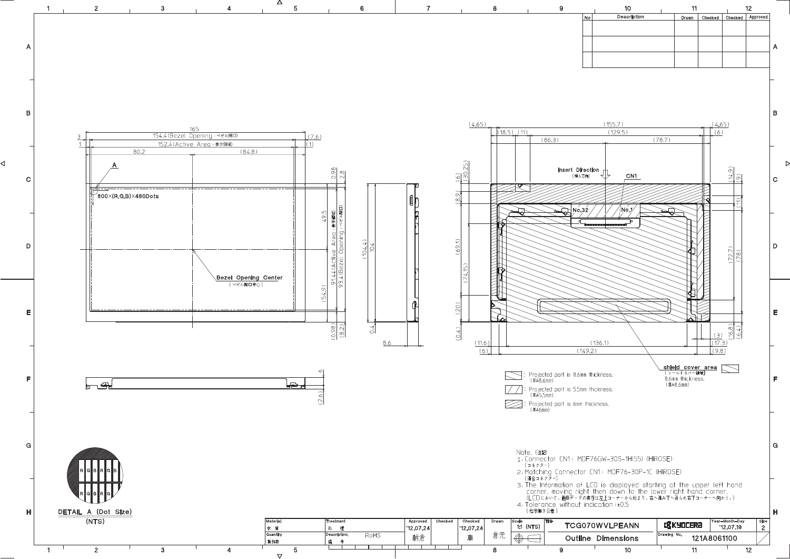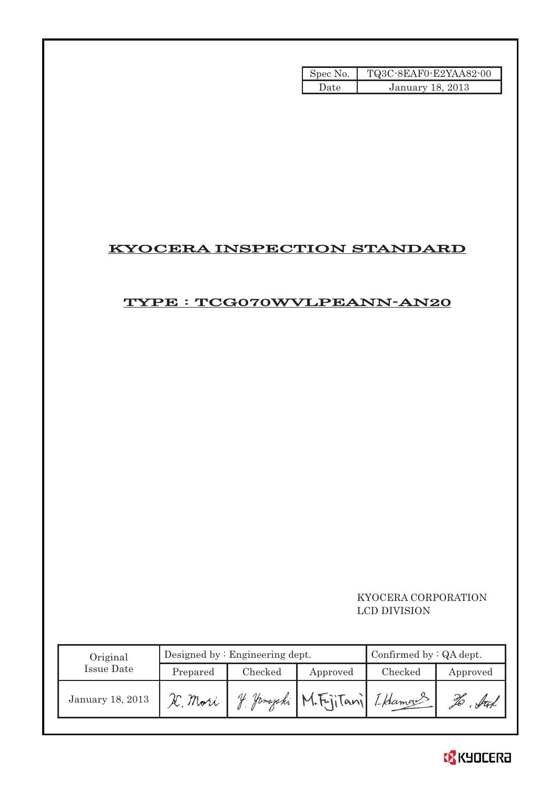| Spec No. | TQ3C-8EAF0-E2YAA82-00   |
|----------|-------------------------|
| Date     | <b>January 18, 2013</b> |

## KYOCERA INSPECTION STANDARD

## TYPE : TCG070WVLPEANN-AN20

## KYOCERA CORPORATION LCD DIVISION

| Original         | Designed by $:$ Engineering dept. |         |                            | Confirmed by $:QA$ dept. |          |  |
|------------------|-----------------------------------|---------|----------------------------|--------------------------|----------|--|
| Issue Date       | Prepared                          | Checked | Approved                   | Checked                  | Approved |  |
| January 18, 2013 | Æ. Mori                           |         | Jamajaki M.Fujitani IHamas |                          |          |  |

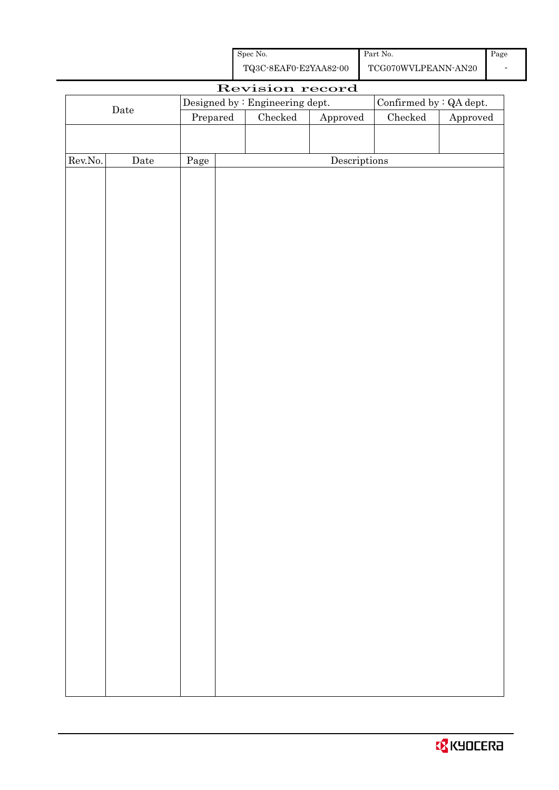| Spec No.              | Part No.            | Page |
|-----------------------|---------------------|------|
| TQ3C-8EAF0-E2YAA82-00 | TCG070WVLPEANN-AN20 |      |

|         |             |          | Revision record                 |                                      |                          |          |
|---------|-------------|----------|---------------------------------|--------------------------------------|--------------------------|----------|
|         |             |          | Designed by : Engineering dept. |                                      | Confirmed by $:QA$ dept. |          |
|         | $\rm{Date}$ | Prepared | $\rm Checked$                   | Approved                             | $\rm Checked$            | Approved |
|         |             |          |                                 |                                      |                          |          |
|         |             |          |                                 |                                      |                          |          |
| Rev.No. | $\rm{Date}$ | Page     |                                 | $\label{eq:2} \textbf{Descriptions}$ |                          |          |
|         |             |          |                                 |                                      |                          |          |
|         |             |          |                                 |                                      |                          |          |
|         |             |          |                                 |                                      |                          |          |
|         |             |          |                                 |                                      |                          |          |
|         |             |          |                                 |                                      |                          |          |
|         |             |          |                                 |                                      |                          |          |
|         |             |          |                                 |                                      |                          |          |
|         |             |          |                                 |                                      |                          |          |
|         |             |          |                                 |                                      |                          |          |
|         |             |          |                                 |                                      |                          |          |
|         |             |          |                                 |                                      |                          |          |
|         |             |          |                                 |                                      |                          |          |
|         |             |          |                                 |                                      |                          |          |
|         |             |          |                                 |                                      |                          |          |
|         |             |          |                                 |                                      |                          |          |
|         |             |          |                                 |                                      |                          |          |
|         |             |          |                                 |                                      |                          |          |
|         |             |          |                                 |                                      |                          |          |
|         |             |          |                                 |                                      |                          |          |
|         |             |          |                                 |                                      |                          |          |
|         |             |          |                                 |                                      |                          |          |
|         |             |          |                                 |                                      |                          |          |
|         |             |          |                                 |                                      |                          |          |
|         |             |          |                                 |                                      |                          |          |
|         |             |          |                                 |                                      |                          |          |
|         |             |          |                                 |                                      |                          |          |
|         |             |          |                                 |                                      |                          |          |
|         |             |          |                                 |                                      |                          |          |
|         |             |          |                                 |                                      |                          |          |
|         |             |          |                                 |                                      |                          |          |
|         |             |          |                                 |                                      |                          |          |
|         |             |          |                                 |                                      |                          |          |
|         |             |          |                                 |                                      |                          |          |
|         |             |          |                                 |                                      |                          |          |
|         |             |          |                                 |                                      |                          |          |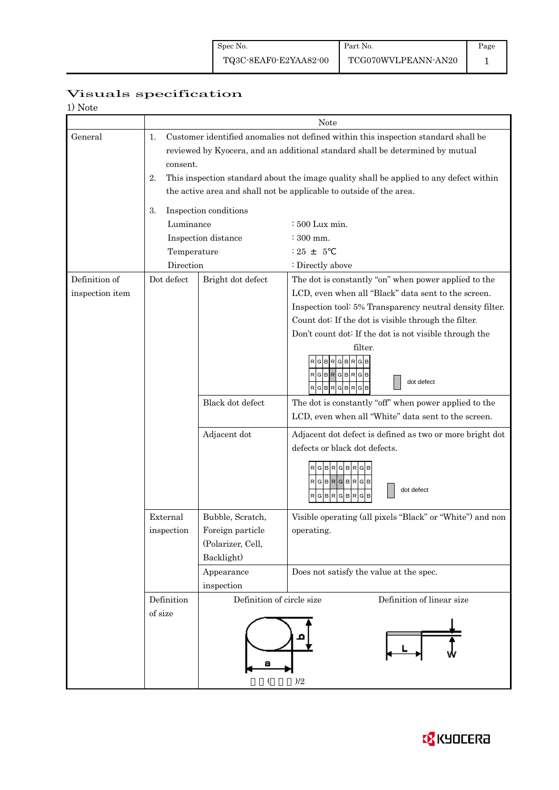Page 1

# Visuals specification

| 1) Note |
|---------|
|---------|

|                 | Note                                                                                                                                                                                  |                           |                                                                                                                                               |  |  |  |  |  |  |  |  |
|-----------------|---------------------------------------------------------------------------------------------------------------------------------------------------------------------------------------|---------------------------|-----------------------------------------------------------------------------------------------------------------------------------------------|--|--|--|--|--|--|--|--|
| General         | Customer identified anomalies not defined within this inspection standard shall be<br>1.<br>reviewed by Kyocera, and an additional standard shall be determined by mutual<br>consent. |                           |                                                                                                                                               |  |  |  |  |  |  |  |  |
|                 | This inspection standard about the image quality shall be applied to any defect within<br>2.                                                                                          |                           |                                                                                                                                               |  |  |  |  |  |  |  |  |
|                 | the active area and shall not be applicable to outside of the area.                                                                                                                   |                           |                                                                                                                                               |  |  |  |  |  |  |  |  |
|                 | Inspection conditions<br>3.                                                                                                                                                           |                           |                                                                                                                                               |  |  |  |  |  |  |  |  |
|                 | Luminance                                                                                                                                                                             |                           | : 500 Lux min.                                                                                                                                |  |  |  |  |  |  |  |  |
|                 |                                                                                                                                                                                       | Inspection distance       | $\div$ 300 mm.                                                                                                                                |  |  |  |  |  |  |  |  |
|                 | Temperature                                                                                                                                                                           |                           | $: 25 + 5$                                                                                                                                    |  |  |  |  |  |  |  |  |
|                 | Direction                                                                                                                                                                             |                           | : Directly above                                                                                                                              |  |  |  |  |  |  |  |  |
| Definition of   | Dot defect                                                                                                                                                                            | Bright dot defect         | The dot is constantly "on" when power applied to the                                                                                          |  |  |  |  |  |  |  |  |
| inspection item |                                                                                                                                                                                       |                           | LCD, even when all "Black" data sent to the screen.                                                                                           |  |  |  |  |  |  |  |  |
|                 |                                                                                                                                                                                       |                           | Inspection tool: 5% Transparency neutral density filter.                                                                                      |  |  |  |  |  |  |  |  |
|                 |                                                                                                                                                                                       |                           | Count dot: If the dot is visible through the filter.                                                                                          |  |  |  |  |  |  |  |  |
|                 |                                                                                                                                                                                       |                           | Don't count dot: If the dot is not visible through the                                                                                        |  |  |  |  |  |  |  |  |
|                 |                                                                                                                                                                                       |                           | filter.<br>в<br>R<br>RGBRGBRGB<br>dot defect<br>RGBRGBRGB                                                                                     |  |  |  |  |  |  |  |  |
|                 |                                                                                                                                                                                       | Black dot defect          | The dot is constantly "off" when power applied to the<br>LCD, even when all "White" data sent to the screen.                                  |  |  |  |  |  |  |  |  |
|                 |                                                                                                                                                                                       |                           |                                                                                                                                               |  |  |  |  |  |  |  |  |
|                 |                                                                                                                                                                                       | Adjacent dot              | Adjacent dot defect is defined as two or more bright dot<br>defects or black dot defects.                                                     |  |  |  |  |  |  |  |  |
|                 |                                                                                                                                                                                       |                           | RGBRGBR<br>$\mathsf{R}[\mathsf{G}]\mathsf{B}[\mathsf{R}]\mathsf{G}[\mathsf{B}]\mathsf{R}[\mathsf{G}]\mathsf{B}$<br>dot defect<br>RGBRGBR<br>G |  |  |  |  |  |  |  |  |
|                 | External                                                                                                                                                                              | Bubble, Scratch,          | Visible operating (all pixels "Black" or "White") and non                                                                                     |  |  |  |  |  |  |  |  |
|                 | inspection                                                                                                                                                                            | Foreign particle          | operating.                                                                                                                                    |  |  |  |  |  |  |  |  |
|                 |                                                                                                                                                                                       | (Polarizer, Cell,         |                                                                                                                                               |  |  |  |  |  |  |  |  |
|                 |                                                                                                                                                                                       | Backlight)                |                                                                                                                                               |  |  |  |  |  |  |  |  |
|                 |                                                                                                                                                                                       | Appearance                | Does not satisfy the value at the spec.                                                                                                       |  |  |  |  |  |  |  |  |
|                 |                                                                                                                                                                                       | inspection                |                                                                                                                                               |  |  |  |  |  |  |  |  |
|                 | Definition                                                                                                                                                                            | Definition of circle size | Definition of linear size                                                                                                                     |  |  |  |  |  |  |  |  |
|                 | of size                                                                                                                                                                               | а                         | )/2                                                                                                                                           |  |  |  |  |  |  |  |  |